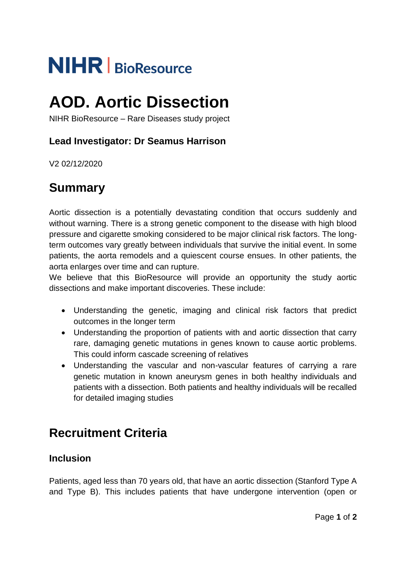# **NIHR** BioResource

## **AOD. Aortic Dissection**

NIHR BioResource – Rare Diseases study project

#### **Lead Investigator: Dr Seamus Harrison**

V2 02/12/2020

## **Summary**

Aortic dissection is a potentially devastating condition that occurs suddenly and without warning. There is a strong genetic component to the disease with high blood pressure and cigarette smoking considered to be major clinical risk factors. The longterm outcomes vary greatly between individuals that survive the initial event. In some patients, the aorta remodels and a quiescent course ensues. In other patients, the aorta enlarges over time and can rupture.

We believe that this BioResource will provide an opportunity the study aortic dissections and make important discoveries. These include:

- Understanding the genetic, imaging and clinical risk factors that predict outcomes in the longer term
- Understanding the proportion of patients with and aortic dissection that carry rare, damaging genetic mutations in genes known to cause aortic problems. This could inform cascade screening of relatives
- Understanding the vascular and non-vascular features of carrying a rare genetic mutation in known aneurysm genes in both healthy individuals and patients with a dissection. Both patients and healthy individuals will be recalled for detailed imaging studies

## **Recruitment Criteria**

#### **Inclusion**

Patients, aged less than 70 years old, that have an aortic dissection (Stanford Type A and Type B). This includes patients that have undergone intervention (open or